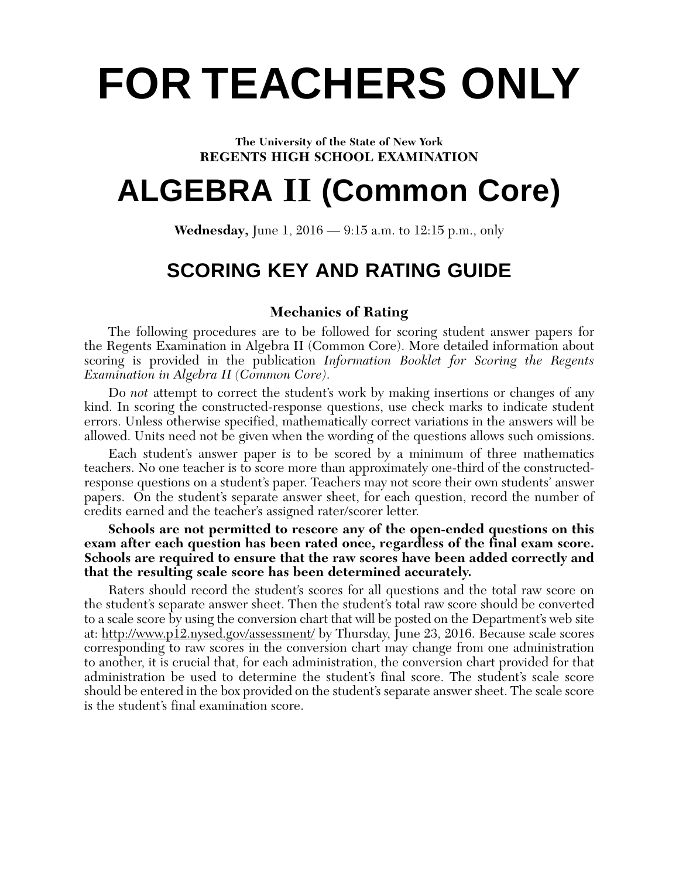# **FOR TEACHERS ONLY**

#### **The University of the State of New York REGENTS HIGH SCHOOL EXAMINATION**

# **ALGEBRA II (Common Core)**

**Wednesday,** June 1, 2016 — 9:15 a.m. to 12:15 p.m., only

# **SCORING KEY AND RATING GUIDE**

#### **Mechanics of Rating**

The following procedures are to be followed for scoring student answer papers for the Regents Examination in Algebra II (Common Core). More detailed information about scoring is provided in the publication *Information Booklet for Scoring the Regents Examination in Algebra II (Common Core)*.

Do *not* attempt to correct the student's work by making insertions or changes of any kind. In scoring the constructed-response questions, use check marks to indicate student errors. Unless otherwise specified, mathematically correct variations in the answers will be allowed. Units need not be given when the wording of the questions allows such omissions.

Each student's answer paper is to be scored by a minimum of three mathematics teachers. No one teacher is to score more than approximately one-third of the constructedresponse questions on a student's paper. Teachers may not score their own students' answer papers. On the student's separate answer sheet, for each question, record the number of credits earned and the teacher's assigned rater/scorer letter.

**Schools are not permitted to rescore any of the open-ended questions on this exam after each question has been rated once, regardless of the final exam score. Schools are required to ensure that the raw scores have been added correctly and that the resulting scale score has been determined accurately.**

Raters should record the student's scores for all questions and the total raw score on the student's separate answer sheet. Then the student's total raw score should be converted to a scale score by using the conversion chart that will be posted on the Department's web site at: http://www.p12.nysed.gov/assessment/ by Thursday, June 23, 2016. Because scale scores corresponding to raw scores in the conversion chart may change from one administration to another, it is crucial that, for each administration, the conversion chart provided for that administration be used to determine the student's final score. The student's scale score should be entered in the box provided on the student's separate answer sheet. The scale score is the student's final examination score.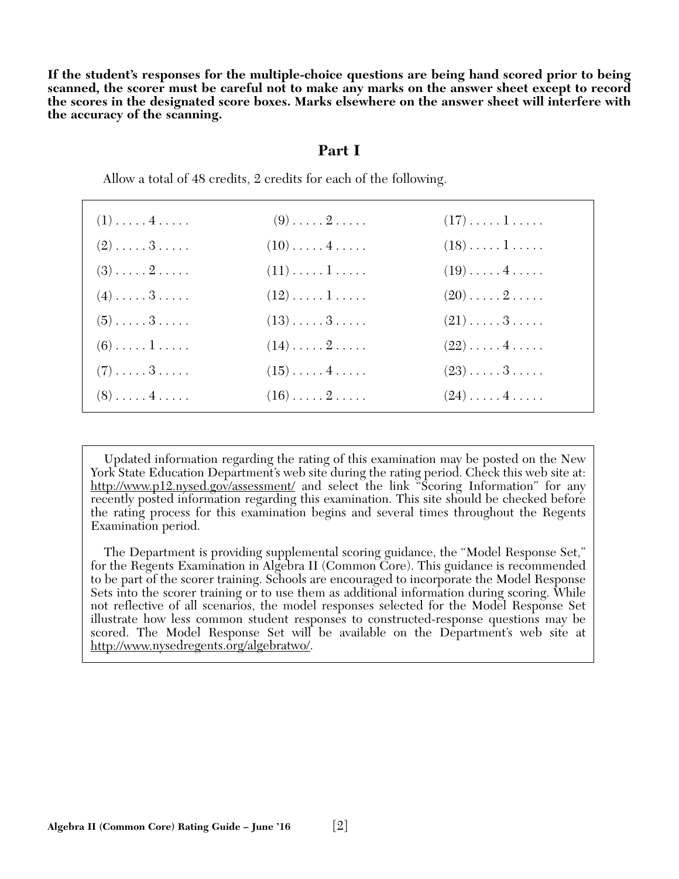**If the student's responses for the multiple-choice questions are being hand scored prior to being scanned, the scorer must be careful not to make any marks on the answer sheet except to record the scores in the designated score boxes. Marks elsewhere on the answer sheet will interfere with the accuracy of the scanning.**

#### **Part I**

| $(1)$ $4$                    | $(9)$ 2                       | $(17)\ldots\ldots\ldots$      |  |
|------------------------------|-------------------------------|-------------------------------|--|
| $(2)$ 3                      | $(10) \ldots \ldots 4 \ldots$ | $(18)\ldots 1 \ldots$         |  |
| $(3) \ldots \ldots 2 \ldots$ | $(11)\ldots\ldots\ldots$      | $(19)\ldots$ . 4              |  |
| $(4)$ $3$                    | $(12)\ldots\ldots\ldots$      | $(20) \ldots \ldots 2 \ldots$ |  |
| $(5)$ $3$                    | $(13)\ldots 3 \ldots$         | $(21)\ldots.3\ldots$          |  |
| $(6)$ $1$                    | $(14)\ldots 2 \ldots$         | $(22)\ldots$ . 4              |  |
| $(7)$ $3$                    | $(15) \ldots 4 \ldots$        | $(23) \ldots 3 \ldots$        |  |
| $(8)$ $4$                    | $(16) \ldots \ldots 2 \ldots$ | $(24)$ $4$                    |  |

Allow a total of 48 credits, 2 credits for each of the following.

Updated information regarding the rating of this examination may be posted on the New York State Education Department's web site during the rating period. Check this web site at: http://www.p12.nysed.gov/assessment/ and select the link "Scoring Information" for any recently posted information regarding this examination. This site should be checked before the rating process for this examination begins and several times throughout the Regents Examination period.

The Department is providing supplemental scoring guidance, the "Model Response Set," for the Regents Examination in Algebra II (Common Core). This guidance is recommended to be part of the scorer training. Schools are encouraged to incorporate the Model Response Sets into the scorer training or to use them as additional information during scoring. While not reflective of all scenarios, the model responses selected for the Model Response Set illustrate how less common student responses to constructed-response questions may be scored. The Model Response Set will be available on the Department's web site at http://www.nysedregents.org/algebratwo/.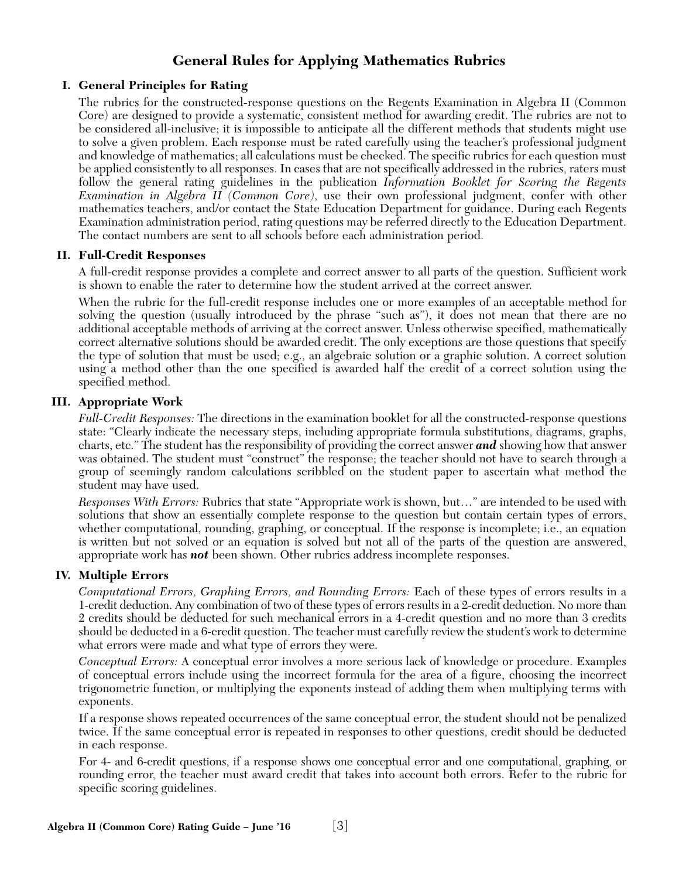### **General Rules for Applying Mathematics Rubrics**

#### **I. General Principles for Rating**

The rubrics for the constructed-response questions on the Regents Examination in Algebra II (Common Core) are designed to provide a systematic, consistent method for awarding credit. The rubrics are not to be considered all-inclusive; it is impossible to anticipate all the different methods that students might use to solve a given problem. Each response must be rated carefully using the teacher's professional judgment and knowledge of mathematics; all calculations must be checked. The specific rubrics for each question must be applied consistently to all responses. In cases that are not specifically addressed in the rubrics, raters must follow the general rating guidelines in the publication *Information Booklet for Scoring the Regents Examination in Algebra II (Common Core)*, use their own professional judgment, confer with other mathematics teachers, and/or contact the State Education Department for guidance. During each Regents Examination administration period, rating questions may be referred directly to the Education Department. The contact numbers are sent to all schools before each administration period.

#### **II. Full-Credit Responses**

A full-credit response provides a complete and correct answer to all parts of the question. Sufficient work is shown to enable the rater to determine how the student arrived at the correct answer.

When the rubric for the full-credit response includes one or more examples of an acceptable method for solving the question (usually introduced by the phrase "such as"), it does not mean that there are no additional acceptable methods of arriving at the correct answer. Unless otherwise specified, mathematically correct alternative solutions should be awarded credit. The only exceptions are those questions that specify the type of solution that must be used; e.g., an algebraic solution or a graphic solution. A correct solution using a method other than the one specified is awarded half the credit of a correct solution using the specified method.

#### **III. Appropriate Work**

*Full-Credit Responses:* The directions in the examination booklet for all the constructed-response questions state: "Clearly indicate the necessary steps, including appropriate formula substitutions, diagrams, graphs, charts, etc." The student has the responsibility of providing the correct answer *and* showing how that answer was obtained. The student must "construct" the response; the teacher should not have to search through a group of seemingly random calculations scribbled on the student paper to ascertain what method the student may have used.

*Responses With Errors:* Rubrics that state "Appropriate work is shown, but…" are intended to be used with solutions that show an essentially complete response to the question but contain certain types of errors, whether computational, rounding, graphing, or conceptual. If the response is incomplete; i.e., an equation is written but not solved or an equation is solved but not all of the parts of the question are answered, appropriate work has *not* been shown. Other rubrics address incomplete responses.

#### **IV. Multiple Errors**

*Computational Errors, Graphing Errors, and Rounding Errors:* Each of these types of errors results in a 1-credit deduction. Any combination of two of these types of errors results in a 2-credit deduction. No more than 2 credits should be deducted for such mechanical errors in a 4-credit question and no more than 3 credits should be deducted in a 6-credit question. The teacher must carefully review the student's work to determine what errors were made and what type of errors they were.

*Conceptual Errors:* A conceptual error involves a more serious lack of knowledge or procedure. Examples of conceptual errors include using the incorrect formula for the area of a figure, choosing the incorrect trigonometric function, or multiplying the exponents instead of adding them when multiplying terms with exponents.

If a response shows repeated occurrences of the same conceptual error, the student should not be penalized twice. If the same conceptual error is repeated in responses to other questions, credit should be deducted in each response.

For 4- and 6-credit questions, if a response shows one conceptual error and one computational, graphing, or rounding error, the teacher must award credit that takes into account both errors. Refer to the rubric for specific scoring guidelines.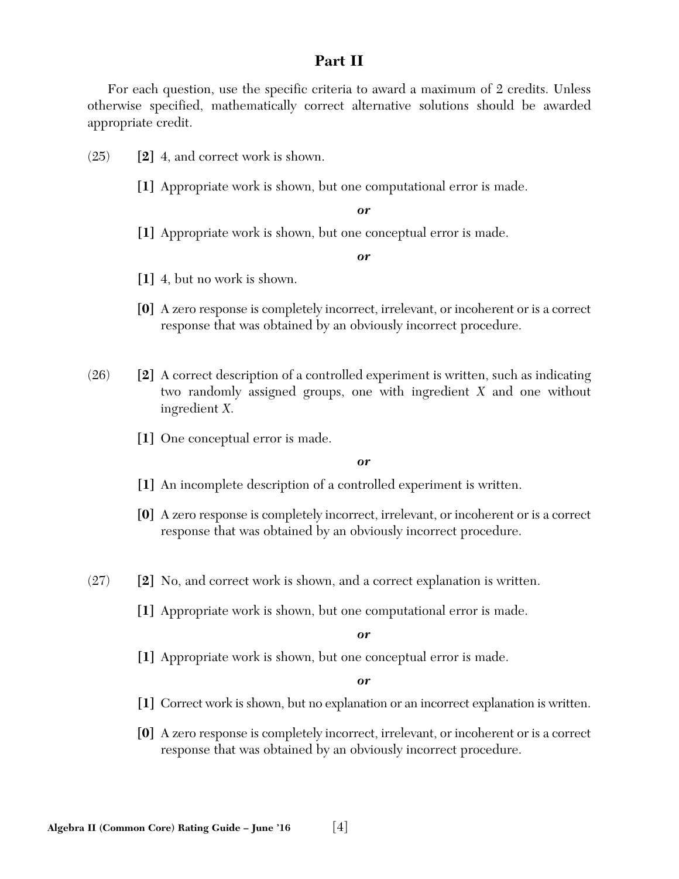#### **Part II**

For each question, use the specific criteria to award a maximum of 2 credits. Unless otherwise specified, mathematically correct alternative solutions should be awarded appropriate credit.

(25) **[2]** 4, and correct work is shown.

**[1]** Appropriate work is shown, but one computational error is made.

*or*

**[1]** Appropriate work is shown, but one conceptual error is made.

*or*

- **[1]** 4, but no work is shown.
- **[0]** A zero response is completely incorrect, irrelevant, or incoherent or is a correct response that was obtained by an obviously incorrect procedure.
- (26) **[2]** A correct description of a controlled experiment is written, such as indicating two randomly assigned groups, one with ingredient *X* and one without ingredient *X*.
	- **[1]** One conceptual error is made.

*or*

- **[1]** An incomplete description of a controlled experiment is written.
- **[0]** A zero response is completely incorrect, irrelevant, or incoherent or is a correct response that was obtained by an obviously incorrect procedure.
- (27) **[2]** No, and correct work is shown, and a correct explanation is written.
	- **[1]** Appropriate work is shown, but one computational error is made.

*or*

**[1]** Appropriate work is shown, but one conceptual error is made.

- **[1]** Correct work is shown, but no explanation or an incorrect explanation is written.
- **[0]** A zero response is completely incorrect, irrelevant, or incoherent or is a correct response that was obtained by an obviously incorrect procedure.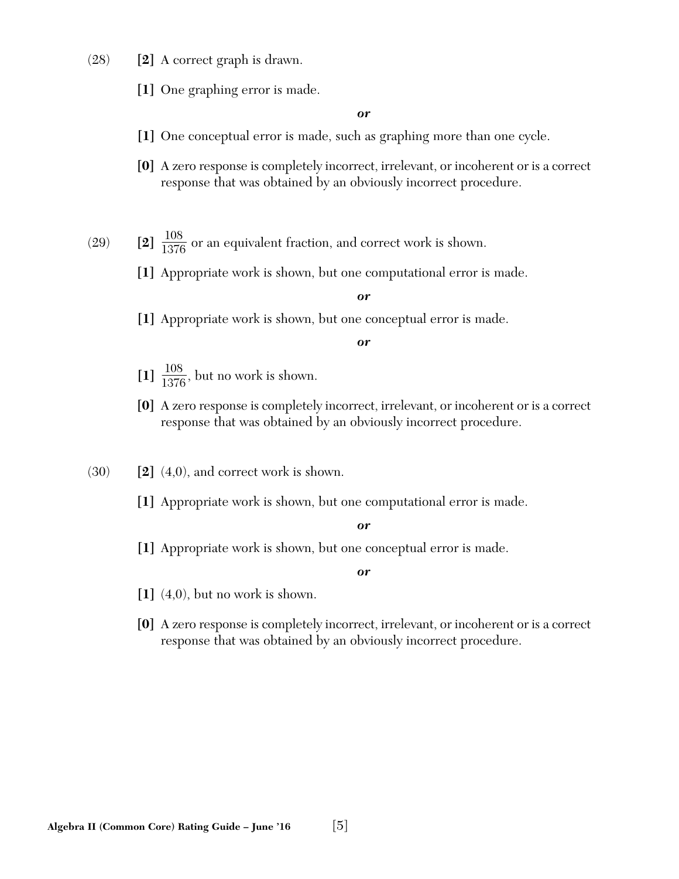- (28) **[2]** A correct graph is drawn.
	- **[1]** One graphing error is made.

- **[1]** One conceptual error is made, such as graphing more than one cycle.
- **[0]** A zero response is completely incorrect, irrelevant, or incoherent or is a correct response that was obtained by an obviously incorrect procedure.
- (29) **[2]**  $\frac{108}{1376}$  or an equivalent fraction, and correct work is shown. 1376
	- **[1]** Appropriate work is shown, but one computational error is made.

*or*

**[1]** Appropriate work is shown, but one conceptual error is made.

*or*

- $\left[1\right] \frac{108}{1376}$ , but no work is shown. 1376
- **[0]** A zero response is completely incorrect, irrelevant, or incoherent or is a correct response that was obtained by an obviously incorrect procedure.
- $(30)$  **[2]**  $(4,0)$ , and correct work is shown.
	- **[1]** Appropriate work is shown, but one computational error is made.

*or*

**[1]** Appropriate work is shown, but one conceptual error is made.

- **[1]** (4,0), but no work is shown.
- **[0]** A zero response is completely incorrect, irrelevant, or incoherent or is a correct response that was obtained by an obviously incorrect procedure.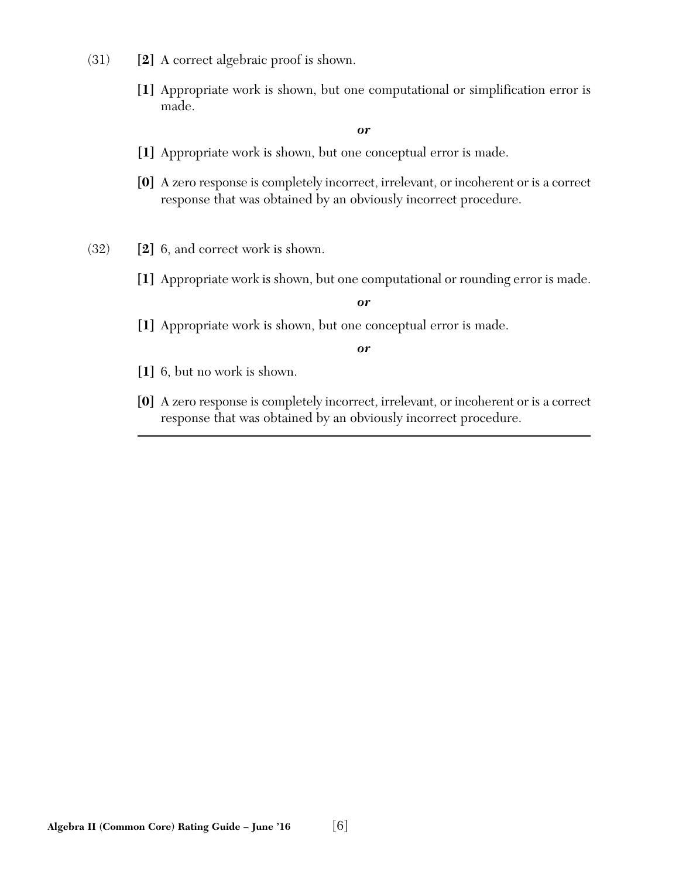- (31) **[2]** A correct algebraic proof is shown.
	- **[1]** Appropriate work is shown, but one computational or simplification error is made.

- **[1]** Appropriate work is shown, but one conceptual error is made.
- **[0]** A zero response is completely incorrect, irrelevant, or incoherent or is a correct response that was obtained by an obviously incorrect procedure.
- (32) **[2]** 6, and correct work is shown.
	- **[1]** Appropriate work is shown, but one computational or rounding error is made.

*or*

**[1]** Appropriate work is shown, but one conceptual error is made.

- **[1]** 6, but no work is shown.
- **[0]** A zero response is completely incorrect, irrelevant, or incoherent or is a correct response that was obtained by an obviously incorrect procedure.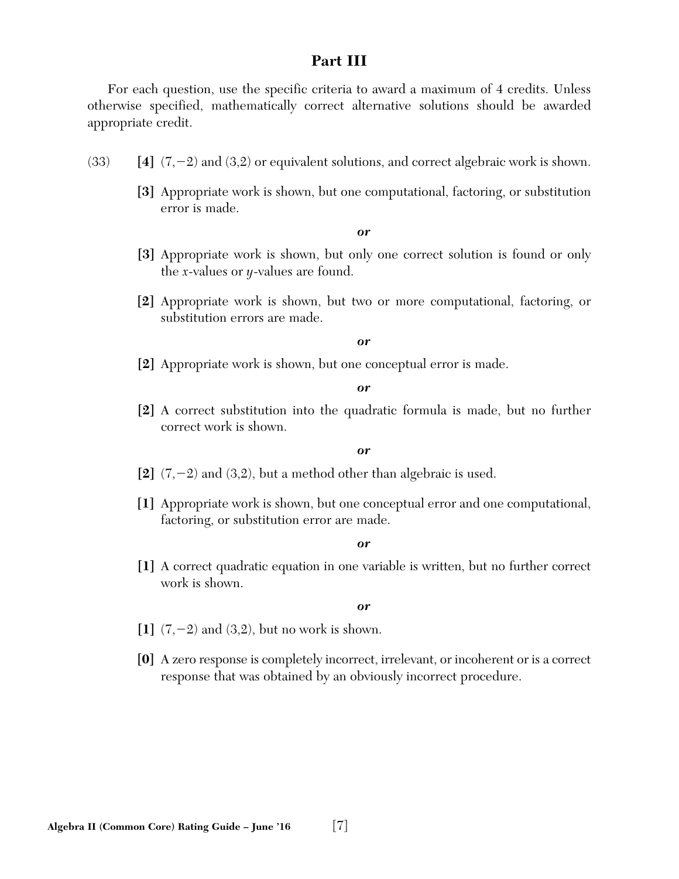#### **Part III**

For each question, use the specific criteria to award a maximum of 4 credits. Unless otherwise specified, mathematically correct alternative solutions should be awarded appropriate credit.

- (33) **[4]** (7,-2) and (3,2) or equivalent solutions, and correct algebraic work is shown.
	- **[3]** Appropriate work is shown, but one computational, factoring, or substitution error is made.

#### *or*

- **[3]** Appropriate work is shown, but only one correct solution is found or only the *x*-values or *y*-values are found.
- **[2]** Appropriate work is shown, but two or more computational, factoring, or substitution errors are made.

#### *or*

**[2]** Appropriate work is shown, but one conceptual error is made.

*or*

**[2]** A correct substitution into the quadratic formula is made, but no further correct work is shown.

#### *or*

- **[2]** (7,-2) and (3,2), but a method other than algebraic is used.
- **[1]** Appropriate work is shown, but one conceptual error and one computational, factoring, or substitution error are made.

#### *or*

**[1]** A correct quadratic equation in one variable is written, but no further correct work is shown.

- **[1]** (7,-2) and (3,2), but no work is shown.
- **[0]** A zero response is completely incorrect, irrelevant, or incoherent or is a correct response that was obtained by an obviously incorrect procedure.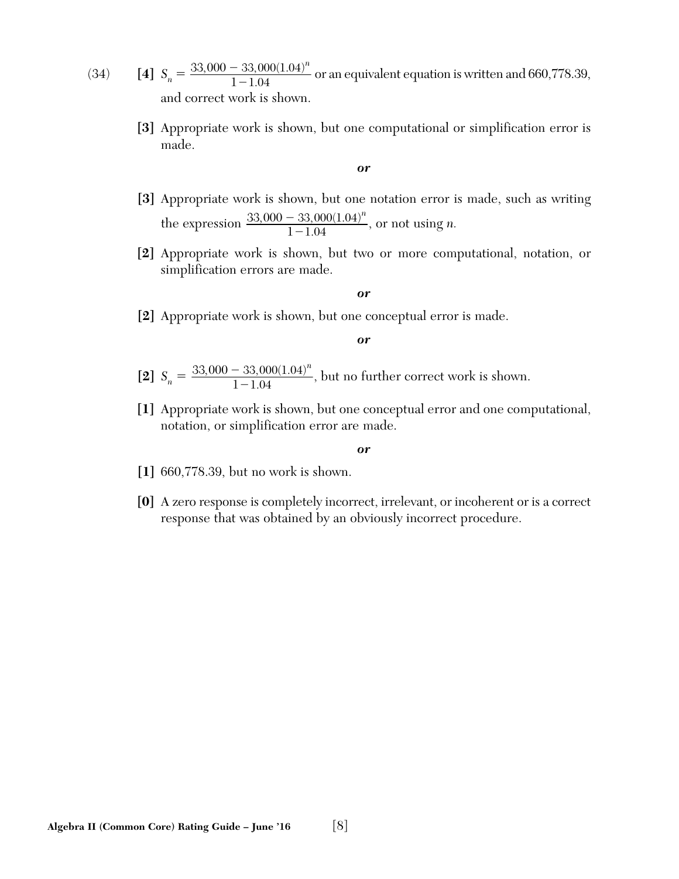- (34) **[4]**  $S_n = \frac{33,000 33,000(1.04)^n}{1 1.04}$  or an equivalent equation is written and 660,778.39, and correct work is shown. 1  $,000 - 33,000(1.04)$ 1.04  $\frac{-3}{1}$ *n*
	- **[3]** Appropriate work is shown, but one computational or simplification error is made.

- **[3]** Appropriate work is shown, but one notation error is made, such as writing the expression  $\frac{33,000 - 33,000(1.04)^n}{1.1.04}$ , or not using *n*. 1  $,000 - 33,000(1.04)$ 1.04  $\frac{-3}{1}$ *n*
- **[2]** Appropriate work is shown, but two or more computational, notation, or simplification errors are made.

#### *or*

**[2]** Appropriate work is shown, but one conceptual error is made.

#### *or*

- [2]  $S_n = \frac{33,000 33,000(1.04)^n}{1 1.04}$ , but no further correct work is shown. 1  $,000-33,000(1.04)$ 1.04  $\frac{-3}{1}$ *n*
- **[1]** Appropriate work is shown, but one conceptual error and one computational, notation, or simplification error are made.

- **[1]** 660,778.39, but no work is shown.
- **[0]** A zero response is completely incorrect, irrelevant, or incoherent or is a correct response that was obtained by an obviously incorrect procedure.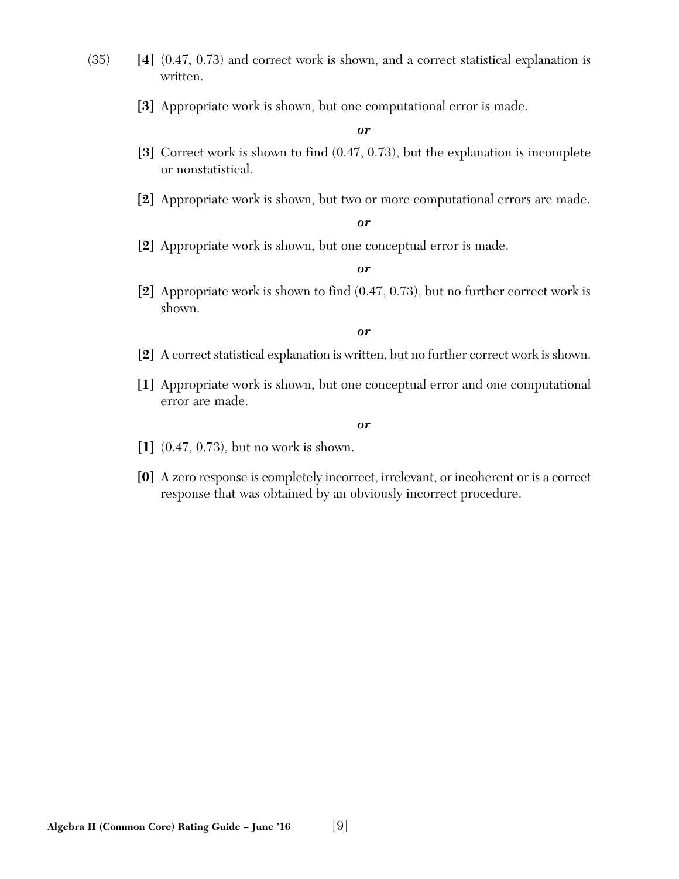- (35) **[4]** (0.47, 0.73) and correct work is shown, and a correct statistical explanation is written.
	- **[3]** Appropriate work is shown, but one computational error is made.

- **[3]** Correct work is shown to find (0.47, 0.73), but the explanation is incomplete or nonstatistical.
- **[2]** Appropriate work is shown, but two or more computational errors are made.

*or*

**[2]** Appropriate work is shown, but one conceptual error is made.

*or*

**[2]** Appropriate work is shown to find (0.47, 0.73), but no further correct work is shown.

*or*

- **[2]** A correct statistical explanation is written, but no further correct work is shown.
- **[1]** Appropriate work is shown, but one conceptual error and one computational error are made.

- **[1]** (0.47, 0.73), but no work is shown.
- **[0]** A zero response is completely incorrect, irrelevant, or incoherent or is a correct response that was obtained by an obviously incorrect procedure.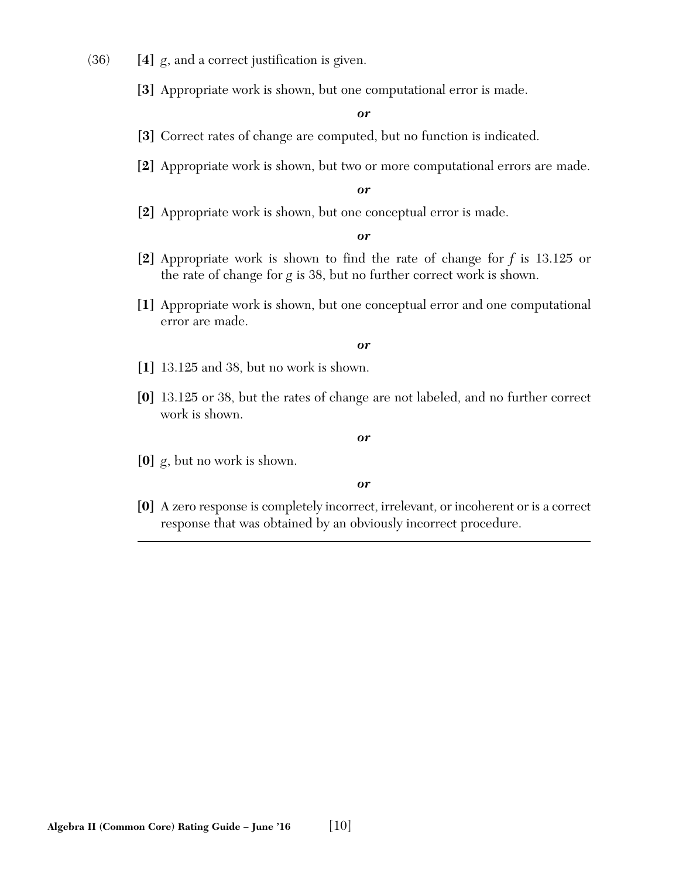- (36) **[4]** *g*, and a correct justification is given.
	- **[3]** Appropriate work is shown, but one computational error is made.

- **[3]** Correct rates of change are computed, but no function is indicated.
- **[2]** Appropriate work is shown, but two or more computational errors are made.

*or*

**[2]** Appropriate work is shown, but one conceptual error is made.

*or*

- **[2]** Appropriate work is shown to find the rate of change for *f* is 13.125 or the rate of change for *g* is 38, but no further correct work is shown.
- **[1]** Appropriate work is shown, but one conceptual error and one computational error are made.

#### *or*

- **[1]** 13.125 and 38, but no work is shown.
- **[0]** 13.125 or 38, but the rates of change are not labeled, and no further correct work is shown.

#### *or*

**[0]** *g*, but no work is shown.

#### *or*

**[0]** A zero response is completely incorrect, irrelevant, or incoherent or is a correct response that was obtained by an obviously incorrect procedure.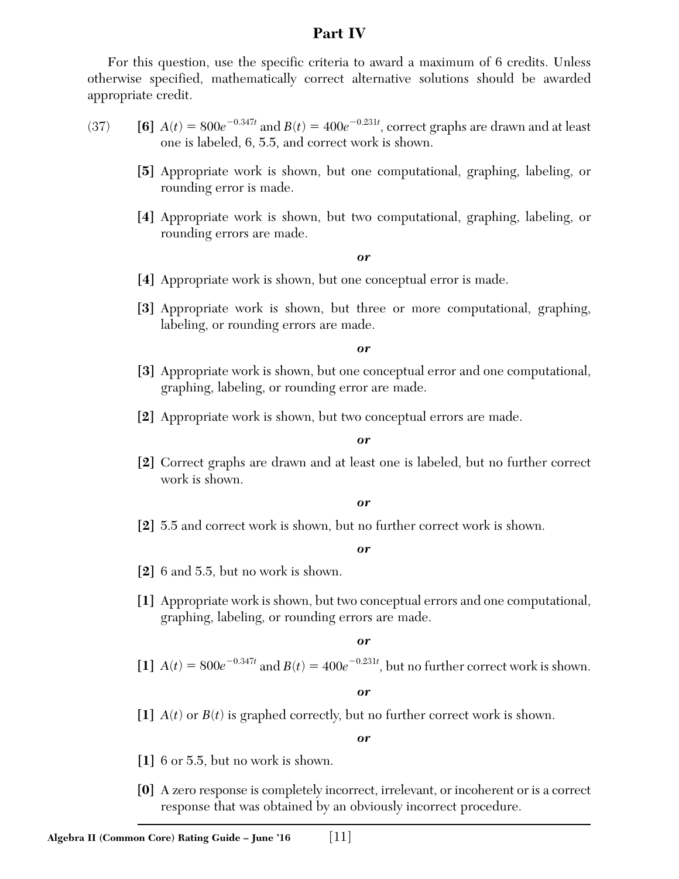#### **Part IV**

For this question, use the specific criteria to award a maximum of 6 credits. Unless otherwise specified, mathematically correct alternative solutions should be awarded appropriate credit.

- (37) **[6]**  $A(t) = 800e^{-0.347t}$  and  $B(t) = 400e^{-0.231t}$ , correct graphs are drawn and at least one is labeled, 6, 5.5, and correct work is shown.
	- **[5]** Appropriate work is shown, but one computational, graphing, labeling, or rounding error is made.
	- **[4]** Appropriate work is shown, but two computational, graphing, labeling, or rounding errors are made.

*or*

- **[4]** Appropriate work is shown, but one conceptual error is made.
- **[3]** Appropriate work is shown, but three or more computational, graphing, labeling, or rounding errors are made.

*or*

- **[3]** Appropriate work is shown, but one conceptual error and one computational, graphing, labeling, or rounding error are made.
- **[2]** Appropriate work is shown, but two conceptual errors are made.

*or*

**[2]** Correct graphs are drawn and at least one is labeled, but no further correct work is shown.

*or*

**[2]** 5.5 and correct work is shown, but no further correct work is shown.

*or*

- **[2]** 6 and 5.5, but no work is shown.
- **[1]** Appropriate work is shown, but two conceptual errors and one computational, graphing, labeling, or rounding errors are made.

*or*

[1]  $A(t) = 800e^{-0.347t}$  and  $B(t) = 400e^{-0.231t}$ , but no further correct work is shown.

*or*

**[1]** *A*(*t*) or *B*(*t*) is graphed correctly, but no further correct work is shown.

- **[1]** 6 or 5.5, but no work is shown.
- **[0]** A zero response is completely incorrect, irrelevant, or incoherent or is a correct response that was obtained by an obviously incorrect procedure.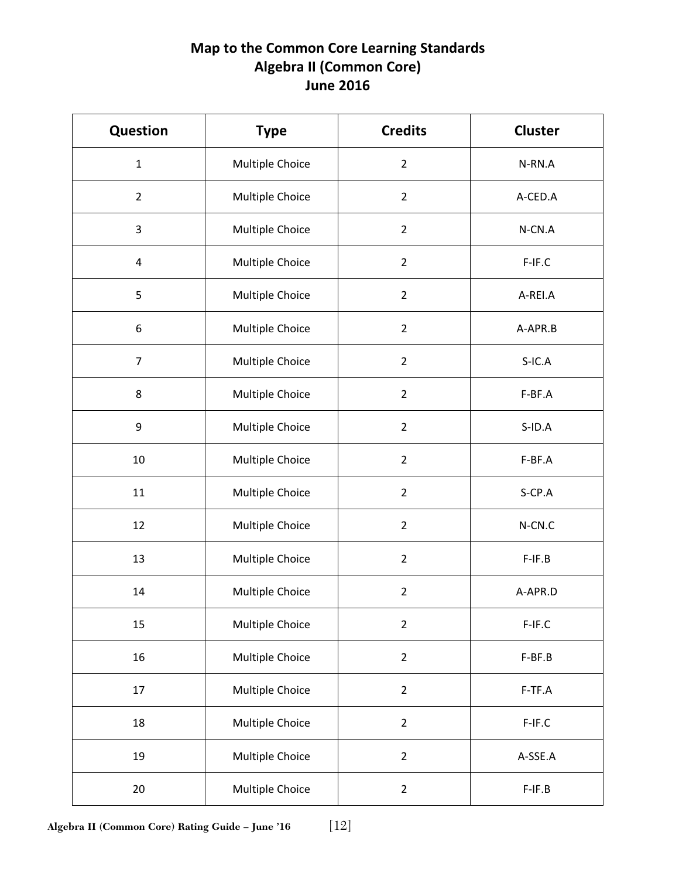## **Map to the Common Core Learning Standards Algebra II (Common Core) June 2016**

| Question       | <b>Type</b>     | <b>Credits</b> | <b>Cluster</b> |
|----------------|-----------------|----------------|----------------|
| $\mathbf{1}$   | Multiple Choice | $\overline{2}$ | N-RN.A         |
| $\overline{2}$ | Multiple Choice | $\overline{2}$ | A-CED.A        |
| 3              | Multiple Choice | $\overline{2}$ | N-CN.A         |
| 4              | Multiple Choice | $\overline{2}$ | F-IF.C         |
| 5              | Multiple Choice | $\overline{2}$ | A-REI.A        |
| 6              | Multiple Choice | $\overline{2}$ | A-APR.B        |
| $\overline{7}$ | Multiple Choice | $\overline{2}$ | $S-IC.A$       |
| 8              | Multiple Choice | $\overline{2}$ | F-BF.A         |
| 9              | Multiple Choice | $\overline{2}$ | $S$ -ID.A      |
| 10             | Multiple Choice | $\overline{2}$ | F-BF.A         |
| 11             | Multiple Choice | $\overline{2}$ | $S$ -CP.A      |
| 12             | Multiple Choice | $\overline{2}$ | N-CN.C         |
| 13             | Multiple Choice | $\overline{2}$ | $F-IF.B$       |
| 14             | Multiple Choice | $\overline{2}$ | A-APR.D        |
| 15             | Multiple Choice | $\overline{2}$ | $F-IF.C$       |
| 16             | Multiple Choice | $\overline{2}$ | F-BF.B         |
| 17             | Multiple Choice | $\overline{2}$ | F-TF.A         |
| 18             | Multiple Choice | $\overline{2}$ | F-IF.C         |
| 19             | Multiple Choice | $\overline{2}$ | A-SSE.A        |
| 20             | Multiple Choice | $\overline{2}$ | $F-IF.B$       |